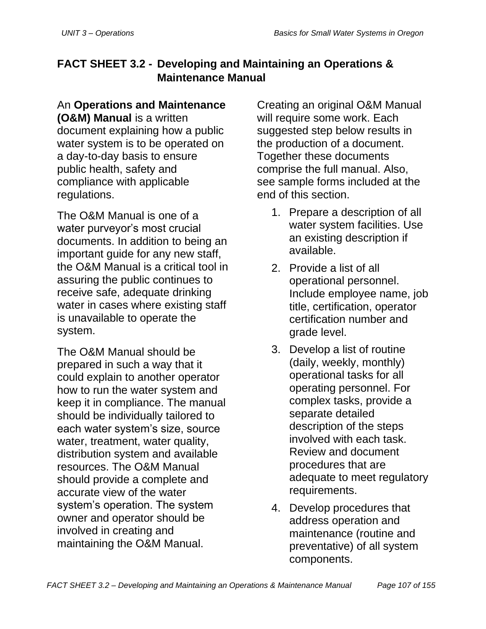# **FACT SHEET 3.2 - Developing and Maintaining an Operations & Maintenance Manual**

# An **Operations and Maintenance**

**(O&M) Manual** is a written document explaining how a public water system is to be operated on a day-to-day basis to ensure public health, safety and compliance with applicable regulations.

The O&M Manual is one of a water purveyor's most crucial documents. In addition to being an important guide for any new staff, the O&M Manual is a critical tool in assuring the public continues to receive safe, adequate drinking water in cases where existing staff is unavailable to operate the system.

The O&M Manual should be prepared in such a way that it could explain to another operator how to run the water system and keep it in compliance. The manual should be individually tailored to each water system's size, source water, treatment, water quality, distribution system and available resources. The O&M Manual should provide a complete and accurate view of the water system's operation. The system owner and operator should be involved in creating and maintaining the O&M Manual.

Creating an original O&M Manual will require some work. Each suggested step below results in the production of a document. Together these documents comprise the full manual. Also, see sample forms included at the end of this section.

- 1. Prepare a description of all water system facilities. Use an existing description if available.
- 2. Provide a list of all operational personnel. Include employee name, job title, certification, operator certification number and grade level.
- 3. Develop a list of routine (daily, weekly, monthly) operational tasks for all operating personnel. For complex tasks, provide a separate detailed description of the steps involved with each task. Review and document procedures that are adequate to meet regulatory requirements.
- 4. Develop procedures that address operation and maintenance (routine and preventative) of all system components.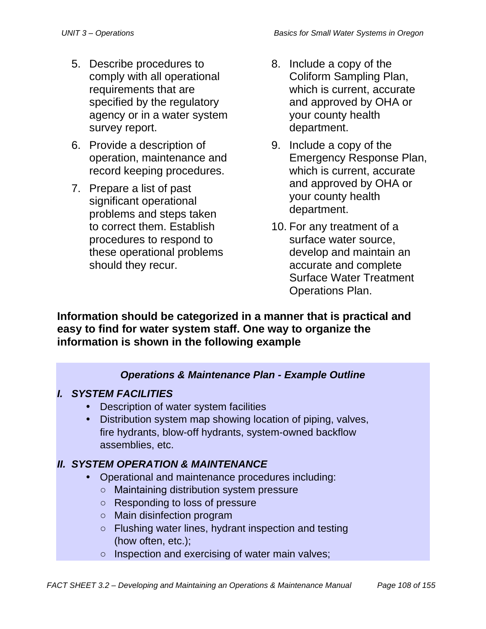- 5. Describe procedures to comply with all operational requirements that are specified by the regulatory agency or in a water system survey report.
- 6. Provide a description of operation, maintenance and record keeping procedures.
- 7. Prepare a list of past significant operational problems and steps taken to correct them. Establish procedures to respond to these operational problems should they recur.
- 8. Include a copy of the Coliform Sampling Plan, which is current, accurate and approved by OHA or your county health department.
- 9. Include a copy of the Emergency Response Plan, which is current, accurate and approved by OHA or your county health department.
- 10. For any treatment of a surface water source, develop and maintain an accurate and complete Surface Water Treatment Operations Plan.

**Information should be categorized in a manner that is practical and easy to find for water system staff. One way to organize the information is shown in the following example**

## *Operations & Maintenance Plan - Example Outline*

## *I. SYSTEM FACILITIES*

- Description of water system facilities
- Distribution system map showing location of piping, valves, fire hydrants, blow-off hydrants, system-owned backflow assemblies, etc.

## *II. SYSTEM OPERATION & MAINTENANCE*

- Operational and maintenance procedures including:
	- Maintaining distribution system pressure
	- Responding to loss of pressure
	- Main disinfection program
	- Flushing water lines, hydrant inspection and testing (how often, etc.);
	- o Inspection and exercising of water main valves;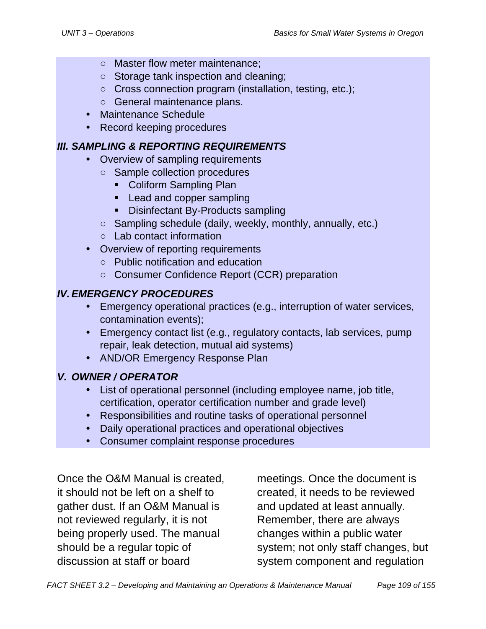- Master flow meter maintenance;
- Storage tank inspection and cleaning;
- Cross connection program (installation, testing, etc.);
- General maintenance plans.
- Maintenance Schedule
- Record keeping procedures

#### *III. SAMPLING & REPORTING REQUIREMENTS*

- Overview of sampling requirements
	- Sample collection procedures
		- Coliform Sampling Plan
		- **•** Lead and copper sampling
		- **Disinfectant By-Products sampling**
	- Sampling schedule (daily, weekly, monthly, annually, etc.)
	- Lab contact information
- Overview of reporting requirements
	- Public notification and education
	- Consumer Confidence Report (CCR) preparation

## *IV.EMERGENCY PROCEDURES*

- Emergency operational practices (e.g., interruption of water services, contamination events);
- Emergency contact list (e.g., regulatory contacts, lab services, pump repair, leak detection, mutual aid systems)
- AND/OR Emergency Response Plan

## *V. OWNER / OPERATOR*

- List of operational personnel (including employee name, job title, certification, operator certification number and grade level)
- Responsibilities and routine tasks of operational personnel
- Daily operational practices and operational objectives
- Consumer complaint response procedures

Once the O&M Manual is created, it should not be left on a shelf to gather dust. If an O&M Manual is not reviewed regularly, it is not being properly used. The manual should be a regular topic of discussion at staff or board

meetings. Once the document is created, it needs to be reviewed and updated at least annually. Remember, there are always changes within a public water system; not only staff changes, but system component and regulation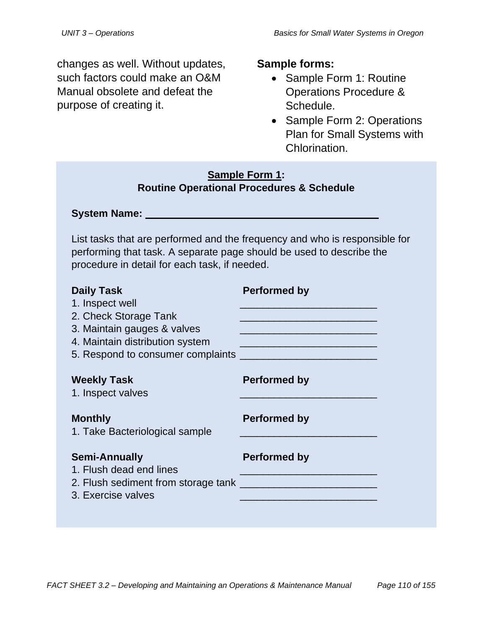changes as well. Without updates, such factors could make an O&M Manual obsolete and defeat the purpose of creating it.

#### **Sample forms:**

- Sample Form 1: Routine Operations Procedure & Schedule.
- Sample Form 2: Operations Plan for Small Systems with Chlorination.

#### **Sample Form 1: Routine Operational Procedures & Schedule**

System Name:

List tasks that are performed and the frequency and who is responsible for performing that task. A separate page should be used to describe the procedure in detail for each task, if needed.

| <b>Daily Task</b><br>1. Inspect well<br>2. Check Storage Tank<br>3. Maintain gauges & valves<br>4. Maintain distribution system<br>5. Respond to consumer complaints | <b>Performed by</b><br><u> 1989 - Johann John Stone, markin amerikan bisa di sebagai pertama dan bagi pertama dan bagi pertama dan bagi </u><br><u> 1989 - Johann John Stein, marwolaeth a bhaile an t-Amhain an t-Amhain an t-Amhain an t-Amhain an t-Amhain an</u><br><u> 1990 - Johann Stoff, mars et al. 1990 - Anna ann an t-Anna ann an t-Anna ann an t-Anna ann an t-Anna ann an t-</u> |
|----------------------------------------------------------------------------------------------------------------------------------------------------------------------|------------------------------------------------------------------------------------------------------------------------------------------------------------------------------------------------------------------------------------------------------------------------------------------------------------------------------------------------------------------------------------------------|
| <b>Weekly Task</b><br>1. Inspect valves                                                                                                                              | <b>Performed by</b>                                                                                                                                                                                                                                                                                                                                                                            |
| <b>Monthly</b><br>1. Take Bacteriological sample                                                                                                                     | <b>Performed by</b>                                                                                                                                                                                                                                                                                                                                                                            |
| <b>Semi-Annually</b><br>1. Flush dead end lines<br>3. Exercise valves                                                                                                | <b>Performed by</b>                                                                                                                                                                                                                                                                                                                                                                            |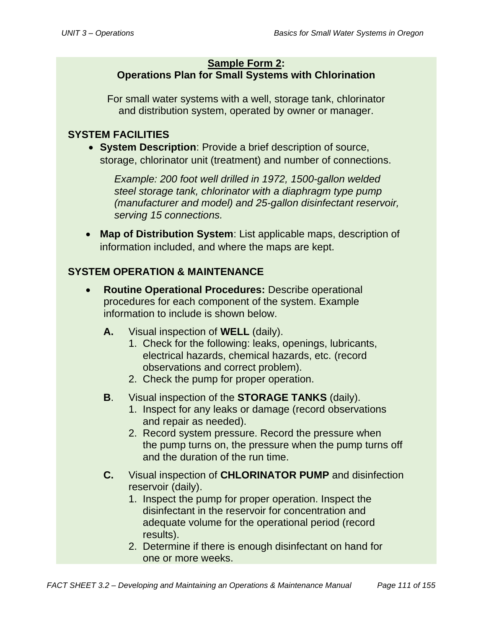#### **Sample Form 2: Operations Plan for Small Systems with Chlorination**

For small water systems with a well, storage tank, chlorinator and distribution system, operated by owner or manager.

## **SYSTEM FACILITIES**

• **System Description**: Provide a brief description of source, storage, chlorinator unit (treatment) and number of connections.

*Example: 200 foot well drilled in 1972, 1500-gallon welded steel storage tank, chlorinator with a diaphragm type pump (manufacturer and model) and 25-gallon disinfectant reservoir, serving 15 connections.* 

• **Map of Distribution System**: List applicable maps, description of information included, and where the maps are kept.

## **SYSTEM OPERATION & MAINTENANCE**

- **Routine Operational Procedures:** Describe operational procedures for each component of the system. Example information to include is shown below.
	- **A.** Visual inspection of **WELL** (daily).
		- 1. Check for the following: leaks, openings, lubricants, electrical hazards, chemical hazards, etc. (record observations and correct problem).
		- 2. Check the pump for proper operation.
	- **B**. Visual inspection of the **STORAGE TANKS** (daily).
		- 1. Inspect for any leaks or damage (record observations and repair as needed).
		- 2. Record system pressure. Record the pressure when the pump turns on, the pressure when the pump turns off and the duration of the run time.
	- **C.** Visual inspection of **CHLORINATOR PUMP** and disinfection reservoir (daily).
		- 1. Inspect the pump for proper operation. Inspect the disinfectant in the reservoir for concentration and adequate volume for the operational period (record results).
		- 2. Determine if there is enough disinfectant on hand for one or more weeks.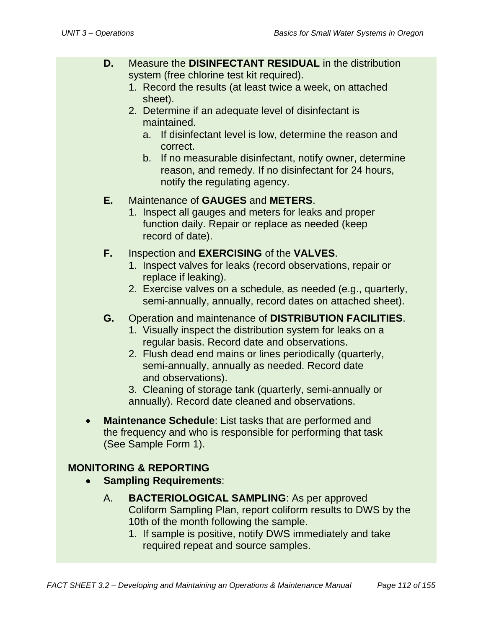- **D.** Measure the **DISINFECTANT RESIDUAL** in the distribution system (free chlorine test kit required).
	- 1. Record the results (at least twice a week, on attached sheet).
	- 2. Determine if an adequate level of disinfectant is maintained.
		- a. If disinfectant level is low, determine the reason and correct.
		- b. If no measurable disinfectant, notify owner, determine reason, and remedy. If no disinfectant for 24 hours, notify the regulating agency.

## **E.** Maintenance of **GAUGES** and **METERS**.

1. Inspect all gauges and meters for leaks and proper function daily. Repair or replace as needed (keep record of date).

#### **F.** Inspection and **EXERCISING** of the **VALVES**.

- 1. Inspect valves for leaks (record observations, repair or replace if leaking).
- 2. Exercise valves on a schedule, as needed (e.g., quarterly, semi-annually, annually, record dates on attached sheet).
- **G.** Operation and maintenance of **DISTRIBUTION FACILITIES**.
	- 1. Visually inspect the distribution system for leaks on a regular basis. Record date and observations.
	- 2. Flush dead end mains or lines periodically (quarterly, semi-annually, annually as needed. Record date and observations).
	- 3. Cleaning of storage tank (quarterly, semi-annually or annually). Record date cleaned and observations.
- **Maintenance Schedule**: List tasks that are performed and the frequency and who is responsible for performing that task (See Sample Form 1).

## **MONITORING & REPORTING**

- **Sampling Requirements**:
	- A. **BACTERIOLOGICAL SAMPLING**: As per approved Coliform Sampling Plan, report coliform results to DWS by the 10th of the month following the sample.
		- 1. If sample is positive, notify DWS immediately and take required repeat and source samples.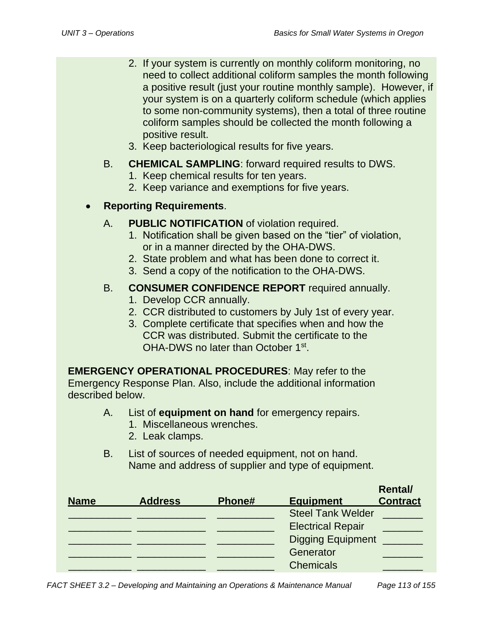- 2. If your system is currently on monthly coliform monitoring, no need to collect additional coliform samples the month following a positive result (just your routine monthly sample). However, if your system is on a quarterly coliform schedule (which applies to some non-community systems), then a total of three routine coliform samples should be collected the month following a positive result.
- 3. Keep bacteriological results for five years.

#### B. **CHEMICAL SAMPLING**: forward required results to DWS.

- 1. Keep chemical results for ten years.
- 2. Keep variance and exemptions for five years.

## • **Reporting Requirements**.

- A. **PUBLIC NOTIFICATION** of violation required.
	- 1. Notification shall be given based on the "tier" of violation, or in a manner directed by the OHA-DWS.
	- 2. State problem and what has been done to correct it.
	- 3. Send a copy of the notification to the OHA-DWS.

#### B. **CONSUMER CONFIDENCE REPORT** required annually.

- 1. Develop CCR annually.
- 2. CCR distributed to customers by July 1st of every year.
- 3. Complete certificate that specifies when and how the CCR was distributed. Submit the certificate to the OHA-DWS no later than October 1<sup>st</sup>.

**EMERGENCY OPERATIONAL PROCEDURES**: May refer to the Emergency Response Plan. Also, include the additional information described below.

- A. List of **equipment on hand** for emergency repairs.
	- 1. Miscellaneous wrenches.
	- 2. Leak clamps.
- B. List of sources of needed equipment, not on hand. Name and address of supplier and type of equipment.

| <b>Name</b> | <b>Address</b> | Phone# | <b>Equipment</b>         | <b>Rental/</b><br><b>Contract</b> |
|-------------|----------------|--------|--------------------------|-----------------------------------|
|             |                |        | <b>Steel Tank Welder</b> |                                   |
|             |                |        | <b>Electrical Repair</b> |                                   |
|             |                |        | <b>Digging Equipment</b> |                                   |
|             |                |        | Generator                |                                   |
|             |                |        | <b>Chemicals</b>         |                                   |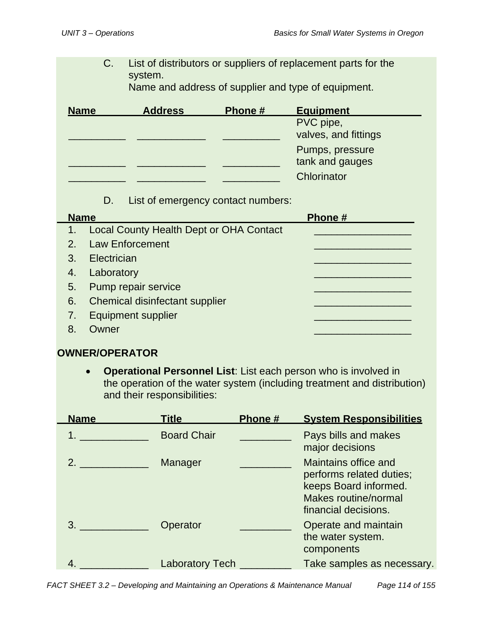C. List of distributors or suppliers of replacement parts for the system.

Name and address of supplier and type of equipment.

| <b>Name</b> | <b>Address</b> | Phone # | <b>Equipment</b>     |
|-------------|----------------|---------|----------------------|
|             |                |         | PVC pipe,            |
|             |                |         | valves, and fittings |
|             |                |         | Pumps, pressure      |
|             |                |         | tank and gauges      |
|             |                |         | Chlorinator          |

D. List of emergency contact numbers:

| <b>Name</b> |                                                | Phone# |
|-------------|------------------------------------------------|--------|
| 1.          | <b>Local County Health Dept or OHA Contact</b> |        |
| 2.          | <b>Law Enforcement</b>                         |        |
| 3.          | Electrician                                    |        |
| 4.          | Laboratory                                     |        |
| 5.          | Pump repair service                            |        |
| 6.          | Chemical disinfectant supplier                 |        |
| 7.          | <b>Equipment supplier</b>                      |        |
|             | Owner                                          |        |

#### **OWNER/OPERATOR**

• **Operational Personnel List**: List each person who is involved in the operation of the water system (including treatment and distribution) and their responsibilities:

| <b>Name</b> | <u>Title</u>           | Phone # | <b>System Responsibilities</b>                                                                                                   |
|-------------|------------------------|---------|----------------------------------------------------------------------------------------------------------------------------------|
|             | <b>Board Chair</b>     |         | Pays bills and makes<br>major decisions                                                                                          |
| 2.          | Manager                |         | <b>Maintains office and</b><br>performs related duties;<br>keeps Board informed.<br>Makes routine/normal<br>financial decisions. |
| 3.          | Operator               |         | Operate and maintain<br>the water system.<br>components                                                                          |
| 4           | <b>Laboratory Tech</b> |         | Take samples as necessary.                                                                                                       |